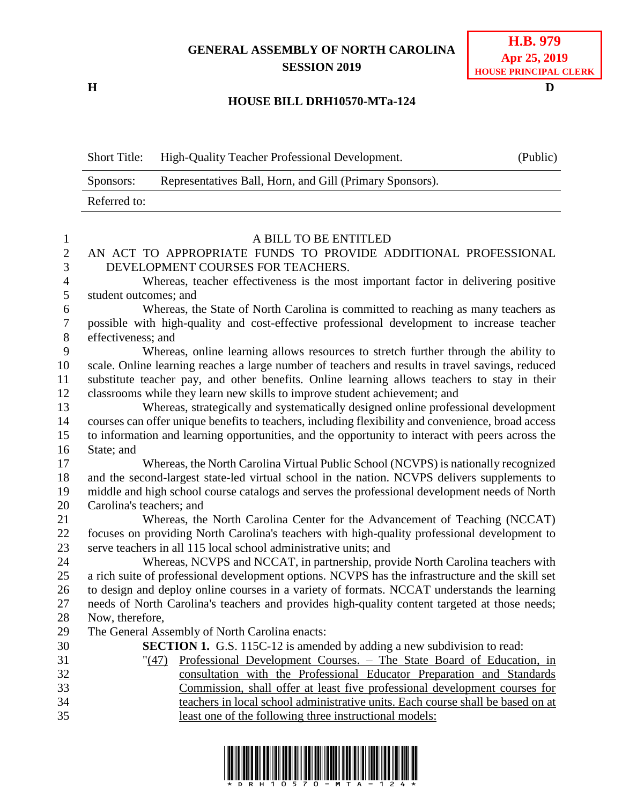## **GENERAL ASSEMBLY OF NORTH CAROLINA SESSION 2019**

**H D**

## **H.B. 979 Apr 25, 2019 HOUSE PRINCIPAL CLERK**

## **HOUSE BILL DRH10570-MTa-124**

Short Title: High-Quality Teacher Professional Development. (Public)

|                | Representatives Ball, Horn, and Gill (Primary Sponsors).<br>Sponsors:                              |  |
|----------------|----------------------------------------------------------------------------------------------------|--|
|                | Referred to:                                                                                       |  |
|                |                                                                                                    |  |
| $\mathbf{1}$   | A BILL TO BE ENTITLED                                                                              |  |
| $\mathbf{2}$   | AN ACT TO APPROPRIATE FUNDS TO PROVIDE ADDITIONAL PROFESSIONAL                                     |  |
| 3              | DEVELOPMENT COURSES FOR TEACHERS.                                                                  |  |
| $\overline{4}$ | Whereas, teacher effectiveness is the most important factor in delivering positive                 |  |
| 5              | student outcomes; and                                                                              |  |
| 6              | Whereas, the State of North Carolina is committed to reaching as many teachers as                  |  |
| $\overline{7}$ | possible with high-quality and cost-effective professional development to increase teacher         |  |
| $8\,$          | effectiveness; and                                                                                 |  |
| 9              | Whereas, online learning allows resources to stretch further through the ability to                |  |
| 10             | scale. Online learning reaches a large number of teachers and results in travel savings, reduced   |  |
| 11             | substitute teacher pay, and other benefits. Online learning allows teachers to stay in their       |  |
| 12             | classrooms while they learn new skills to improve student achievement; and                         |  |
| 13             | Whereas, strategically and systematically designed online professional development                 |  |
| 14             | courses can offer unique benefits to teachers, including flexibility and convenience, broad access |  |
| 15             | to information and learning opportunities, and the opportunity to interact with peers across the   |  |
| 16             | State; and                                                                                         |  |
| 17             | Whereas, the North Carolina Virtual Public School (NCVPS) is nationally recognized                 |  |
| 18             | and the second-largest state-led virtual school in the nation. NCVPS delivers supplements to       |  |
| 19             | middle and high school course catalogs and serves the professional development needs of North      |  |
| 20             | Carolina's teachers; and                                                                           |  |
| 21             | Whereas, the North Carolina Center for the Advancement of Teaching (NCCAT)                         |  |
| 22             | focuses on providing North Carolina's teachers with high-quality professional development to       |  |
| 23             | serve teachers in all 115 local school administrative units; and                                   |  |
| 24             | Whereas, NCVPS and NCCAT, in partnership, provide North Carolina teachers with                     |  |
| 25             | a rich suite of professional development options. NCVPS has the infrastructure and the skill set   |  |
| 26             | to design and deploy online courses in a variety of formats. NCCAT understands the learning        |  |
| 27             | needs of North Carolina's teachers and provides high-quality content targeted at those needs;      |  |
| 28             | Now, therefore,                                                                                    |  |
| 29             | The General Assembly of North Carolina enacts:                                                     |  |
| 30             | <b>SECTION 1.</b> G.S. 115C-12 is amended by adding a new subdivision to read:                     |  |
| 31             | "(47) Professional Development Courses. - The State Board of Education, in                         |  |
| 32             | consultation with the Professional Educator Preparation and Standards                              |  |
| 33             | Commission, shall offer at least five professional development courses for                         |  |

 teachers in local school administrative units. Each course shall be based on at least one of the following three instructional models: